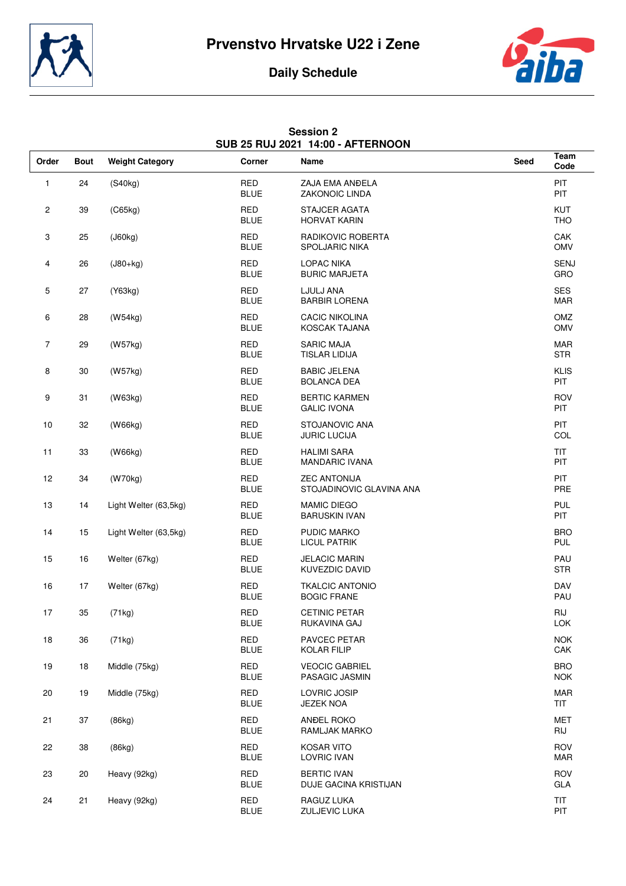



## **Daily Schedule**

| <b>Session 2</b> |                                   |  |  |  |  |  |  |
|------------------|-----------------------------------|--|--|--|--|--|--|
|                  | SUB 25 RUJ 2021 14:00 - AFTERNOON |  |  |  |  |  |  |

| Order          | <b>Bout</b> | <b>Weight Category</b> | Corner                    | Name                                            | Seed | Team<br>Code              |
|----------------|-------------|------------------------|---------------------------|-------------------------------------------------|------|---------------------------|
| $\mathbf{1}$   | 24          | (S40kg)                | <b>RED</b><br><b>BLUE</b> | ZAJA EMA ANĐELA<br>ZAKONOIC LINDA               |      | PIT<br><b>PIT</b>         |
| 2              | 39          | (C65kg)                | <b>RED</b><br><b>BLUE</b> | <b>STAJCER AGATA</b><br><b>HORVAT KARIN</b>     |      | KUT<br><b>THO</b>         |
| 3              | 25          | (J60kg)                | <b>RED</b><br><b>BLUE</b> | RADIKOVIC ROBERTA<br>SPOLJARIC NIKA             |      | CAK<br><b>OMV</b>         |
| 4              | 26          | $(J80+kg)$             | <b>RED</b><br><b>BLUE</b> | <b>LOPAC NIKA</b><br><b>BURIC MARJETA</b>       |      | <b>SENJ</b><br>GRO        |
| 5              | 27          | (Y63kg)                | <b>RED</b><br><b>BLUE</b> | LJULJ ANA<br><b>BARBIR LORENA</b>               |      | <b>SES</b><br>MAR         |
| 6              | 28          | (W54kg)                | <b>RED</b><br><b>BLUE</b> | <b>CACIC NIKOLINA</b><br>KOSCAK TAJANA          |      | OMZ<br>OMV                |
| $\overline{7}$ | 29          | (W57kg)                | <b>RED</b><br><b>BLUE</b> | <b>SARIC MAJA</b><br><b>TISLAR LIDIJA</b>       |      | <b>MAR</b><br><b>STR</b>  |
| 8              | 30          | (W57kg)                | <b>RED</b><br><b>BLUE</b> | <b>BABIC JELENA</b><br><b>BOLANCA DEA</b>       |      | <b>KLIS</b><br><b>PIT</b> |
| 9              | 31          | (W63kg)                | <b>RED</b><br><b>BLUE</b> | <b>BERTIC KARMEN</b><br><b>GALIC IVONA</b>      |      | <b>ROV</b><br><b>PIT</b>  |
| 10             | 32          | (W66kg)                | <b>RED</b><br><b>BLUE</b> | STOJANOVIC ANA<br><b>JURIC LUCIJA</b>           |      | PIT<br>COL                |
| 11             | 33          | (W66kg)                | <b>RED</b><br><b>BLUE</b> | <b>HALIMI SARA</b><br><b>MANDARIC IVANA</b>     |      | <b>TIT</b><br><b>PIT</b>  |
| 12             | 34          | (W70kg)                | <b>RED</b><br><b>BLUE</b> | <b>ZEC ANTONIJA</b><br>STOJADINOVIC GLAVINA ANA |      | <b>PIT</b><br>PRE         |
| 13             | 14          | Light Welter (63,5kg)  | RED<br><b>BLUE</b>        | <b>MAMIC DIEGO</b><br><b>BARUSKIN IVAN</b>      |      | <b>PUL</b><br>PIT         |
| 14             | 15          | Light Welter (63,5kg)  | <b>RED</b><br><b>BLUE</b> | PUDIC MARKO<br><b>LICUL PATRIK</b>              |      | <b>BRO</b><br>PUL         |
| 15             | 16          | Welter (67kg)          | <b>RED</b><br><b>BLUE</b> | <b>JELACIC MARIN</b><br>KUVEZDIC DAVID          |      | PAU<br><b>STR</b>         |
| 16             | 17          | Welter (67kg)          | <b>RED</b><br><b>BLUE</b> | <b>TKALCIC ANTONIO</b><br><b>BOGIC FRANE</b>    |      | DAV<br>PAU                |
| 17             | 35          | (71kg)                 | <b>RED</b><br><b>BLUE</b> | <b>CETINIC PETAR</b><br>RUKAVINA GAJ            |      | <b>RIJ</b><br>LOK         |
| 18             | 36          | (71kg)                 | <b>RED</b><br><b>BLUE</b> | <b>PAVCEC PETAR</b><br><b>KOLAR FILIP</b>       |      | <b>NOK</b><br>CAK         |
| 19             | 18          | Middle (75kg)          | <b>RED</b><br><b>BLUE</b> | <b>VEOCIC GABRIEL</b><br>PASAGIC JASMIN         |      | <b>BRO</b><br><b>NOK</b>  |
| 20             | 19          | Middle (75kg)          | <b>RED</b><br><b>BLUE</b> | <b>LOVRIC JOSIP</b><br><b>JEZEK NOA</b>         |      | <b>MAR</b><br><b>TIT</b>  |
| 21             | 37          | (86kg)                 | <b>RED</b><br><b>BLUE</b> | ANDEL ROKO<br>RAMLJAK MARKO                     |      | <b>MET</b><br>RIJ         |
| 22             | 38          | (86kg)                 | <b>RED</b><br><b>BLUE</b> | <b>KOSAR VITO</b><br>LOVRIC IVAN                |      | <b>ROV</b><br><b>MAR</b>  |
| 23             | 20          | Heavy (92kg)           | <b>RED</b><br><b>BLUE</b> | <b>BERTIC IVAN</b><br>DUJE GACINA KRISTIJAN     |      | <b>ROV</b><br>GLA         |
| 24             | 21          | Heavy (92kg)           | <b>RED</b><br><b>BLUE</b> | RAGUZ LUKA<br>ZULJEVIC LUKA                     |      | <b>TIT</b><br>PIT         |